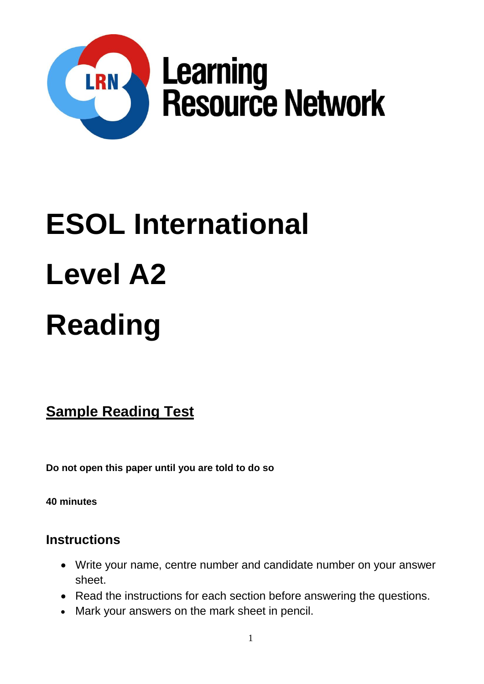

# **ESOL International Level A2 Reading**

**Sample Reading Test**

**Do not open this paper until you are told to do so**

**40 minutes**

## **Instructions**

- Write your name, centre number and candidate number on your answer sheet.
- Read the instructions for each section before answering the questions.
- Mark your answers on the mark sheet in pencil.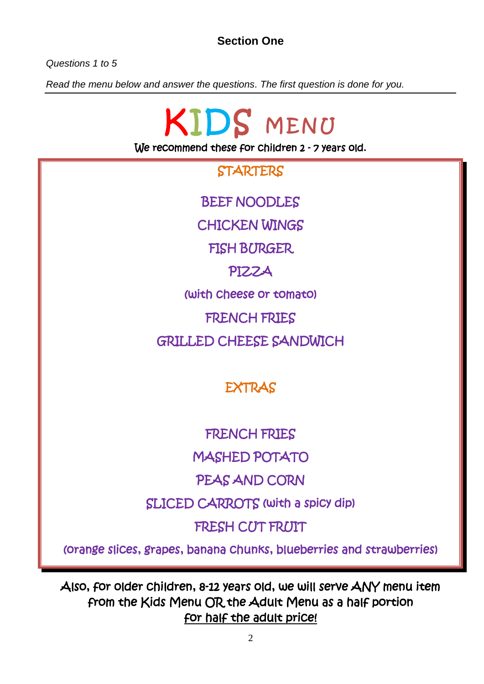## **Section One**

*Questions 1 to 5*

*Read the menu below and answer the questions. The first question is done for you.* 

KIDS MENU We recommend these for children 2 - 7 years old. **STARTERS** BEEF NOODLES CHICKEN WINGS FISH BURGER PIZZA (with cheese or tomato) FRENCH FRIES GRILLED CHEESE SANDWICH **EXTRAS** FRENCH FRIES MASHED POTATO PEAS AND CORN SLICED CARROTS (with a spicy dip) FRESH CUT FRUIT

(orange slices, grapes, banana chunks, blueberries and strawberries)

Also, for older children, 8-12 years old, we will serve ANY menu item from the Kids Menu OR the Adult Menu as a half portion for half the adult price!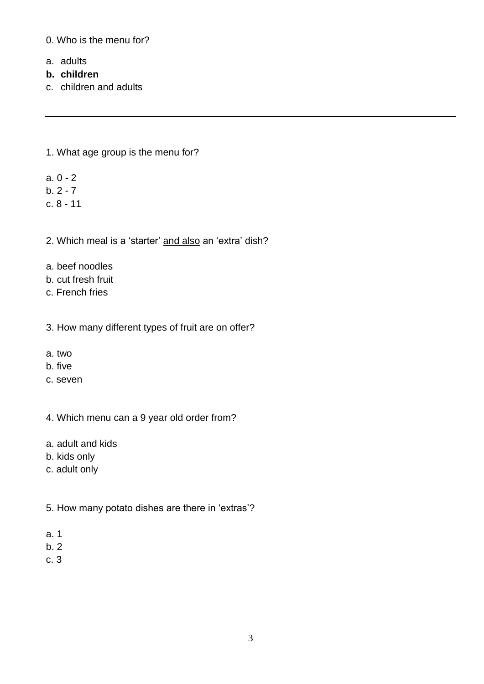0. Who is the menu for?

- a. adults
- **b. children**
- c. children and adults

1. What age group is the menu for?

- a. 0 2
- $b. 2 7$
- c. 8 11

2. Which meal is a 'starter' and also an 'extra' dish?

- a. beef noodles
- b. cut fresh fruit
- c. French fries

3. How many different types of fruit are on offer?

- a. two
- b. five
- c. seven

4. Which menu can a 9 year old order from?

- a. adult and kids
- b. kids only
- c. adult only
- 5. How many potato dishes are there in 'extras'?
- a. 1
- b. 2
- c. 3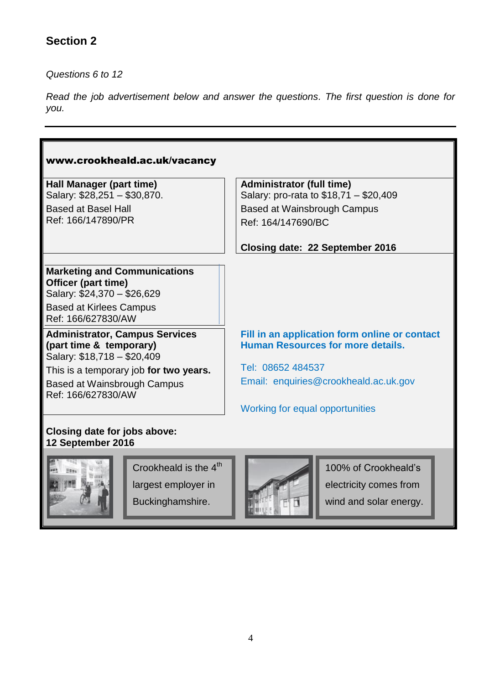## **Section 2**

*Questions 6 to 12*

*Read the job advertisement below and answer the questions. The first question is done for you.*

| www.crookheald.ac.uk/vacancy                                                                    |                                                                                           |  |  |  |  |  |
|-------------------------------------------------------------------------------------------------|-------------------------------------------------------------------------------------------|--|--|--|--|--|
| Hall Manager (part time)                                                                        | <b>Administrator (full time)</b>                                                          |  |  |  |  |  |
| Salary: \$28,251 - \$30,870.                                                                    | Salary: pro-rata to \$18,71 - \$20,409                                                    |  |  |  |  |  |
| <b>Based at Basel Hall</b>                                                                      | <b>Based at Wainsbrough Campus</b>                                                        |  |  |  |  |  |
| Ref: 166/147890/PR                                                                              | Ref: 164/147690/BC                                                                        |  |  |  |  |  |
|                                                                                                 | Closing date: 22 September 2016                                                           |  |  |  |  |  |
| <b>Marketing and Communications</b><br>Officer (part time)<br>Salary: \$24,370 - \$26,629       |                                                                                           |  |  |  |  |  |
| <b>Based at Kirlees Campus</b><br>Ref: 166/627830/AW                                            |                                                                                           |  |  |  |  |  |
| <b>Administrator, Campus Services</b><br>(part time & temporary)<br>Salary: \$18,718 - \$20,409 | Fill in an application form online or contact<br><b>Human Resources for more details.</b> |  |  |  |  |  |
| This is a temporary job for two years.                                                          | Tel: 08652 484537                                                                         |  |  |  |  |  |
| Based at Wainsbrough Campus<br>Ref: 166/627830/AW                                               | Email: enquiries@crookheald.ac.uk.gov                                                     |  |  |  |  |  |
|                                                                                                 | Working for equal opportunities                                                           |  |  |  |  |  |
| Closing date for jobs above:<br>12 September 2016                                               |                                                                                           |  |  |  |  |  |
| Crookheald is the $4th$<br>largest employer in                                                  | 100% of Crookheald's<br>electricity comes from                                            |  |  |  |  |  |

Buckinghamshire.



wind and solar energy.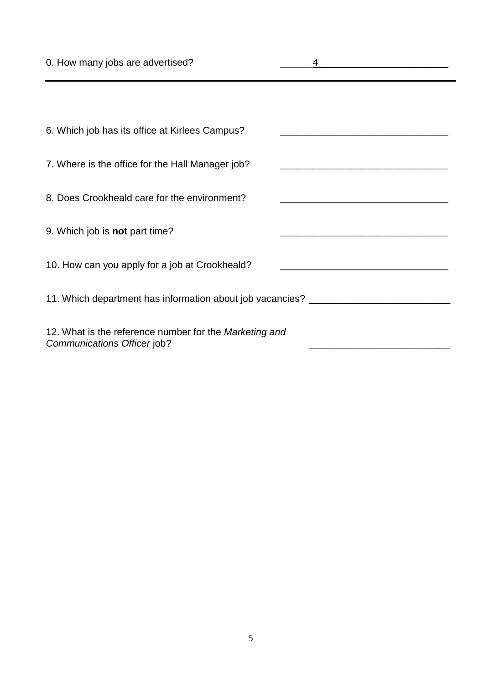| 0. How many jobs are advertised?                                                      |                                                                                           |  |  |  |  |  |
|---------------------------------------------------------------------------------------|-------------------------------------------------------------------------------------------|--|--|--|--|--|
|                                                                                       |                                                                                           |  |  |  |  |  |
| 6. Which job has its office at Kirlees Campus?                                        |                                                                                           |  |  |  |  |  |
| 7. Where is the office for the Hall Manager job?                                      | the control of the control of the control of the control of the control of the control of |  |  |  |  |  |
| 8. Does Crookheald care for the environment?                                          |                                                                                           |  |  |  |  |  |
| 9. Which job is <b>not</b> part time?                                                 |                                                                                           |  |  |  |  |  |
| 10. How can you apply for a job at Crookheald?                                        |                                                                                           |  |  |  |  |  |
| 11. Which department has information about job vacancies? ______________________      |                                                                                           |  |  |  |  |  |
| 12. What is the reference number for the Marketing and<br>Communications Officer job? |                                                                                           |  |  |  |  |  |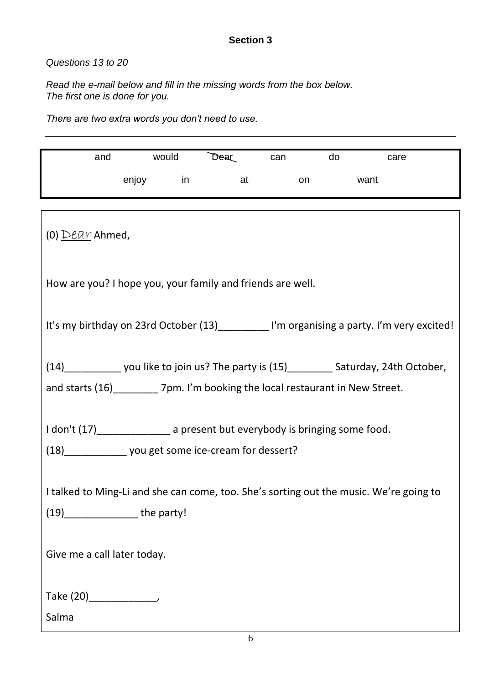#### **Section 3**

### *Questions 13 to 20*

*Read the e-mail below and fill in the missing words from the box below. The first one is done for you.*

*There are two extra words you don't need to use.*

| and                                                                                            | would      |    | Dear | can |    | do |      | care |  |
|------------------------------------------------------------------------------------------------|------------|----|------|-----|----|----|------|------|--|
|                                                                                                | enjoy      | in | at   |     | on |    | want |      |  |
|                                                                                                |            |    |      |     |    |    |      |      |  |
| (0) $D\ell A\gamma$ Ahmed,                                                                     |            |    |      |     |    |    |      |      |  |
| How are you? I hope you, your family and friends are well.                                     |            |    |      |     |    |    |      |      |  |
| It's my birthday on 23rd October (13)____________ I'm organising a party. I'm very excited!    |            |    |      |     |    |    |      |      |  |
| (14)________________ you like to join us? The party is (15)___________ Saturday, 24th October, |            |    |      |     |    |    |      |      |  |
| and starts (16) _________ 7pm. I'm booking the local restaurant in New Street.                 |            |    |      |     |    |    |      |      |  |
|                                                                                                |            |    |      |     |    |    |      |      |  |
| I don't (17)________________ a present but everybody is bringing some food.                    |            |    |      |     |    |    |      |      |  |
| (18) _______________ you get some ice-cream for dessert?                                       |            |    |      |     |    |    |      |      |  |
|                                                                                                |            |    |      |     |    |    |      |      |  |
| I talked to Ming-Li and she can come, too. She's sorting out the music. We're going to         |            |    |      |     |    |    |      |      |  |
| (19)                                                                                           | the party! |    |      |     |    |    |      |      |  |
|                                                                                                |            |    |      |     |    |    |      |      |  |
| Give me a call later today.                                                                    |            |    |      |     |    |    |      |      |  |
|                                                                                                |            |    |      |     |    |    |      |      |  |
|                                                                                                |            |    |      |     |    |    |      |      |  |
| Salma                                                                                          |            |    |      |     |    |    |      |      |  |